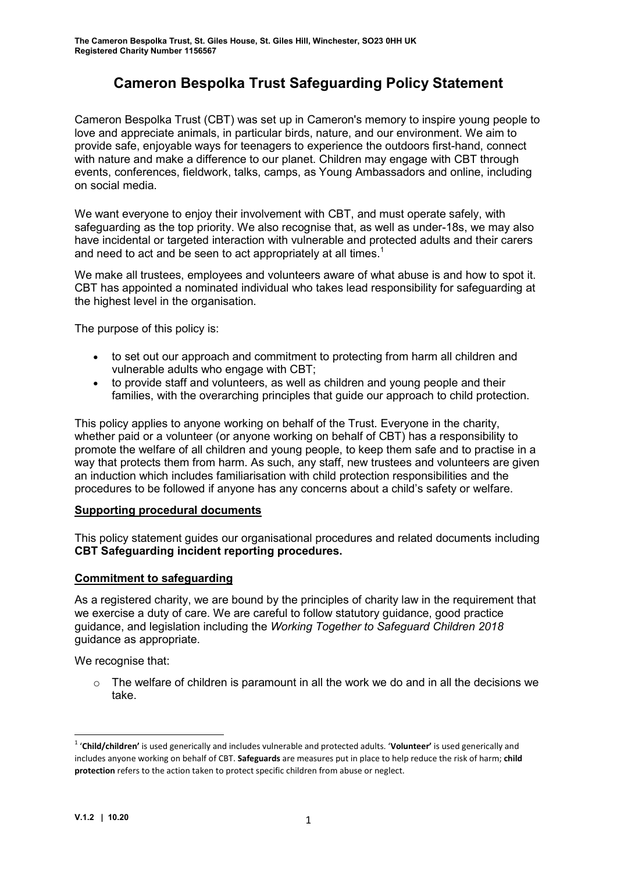# Cameron Bespolka Trust Safeguarding Policy Statement

Cameron Bespolka Trust (CBT) was set up in Cameron's memory to inspire young people to love and appreciate animals, in particular birds, nature, and our environment. We aim to provide safe, enjoyable ways for teenagers to experience the outdoors first-hand, connect with nature and make a difference to our planet. Children may engage with CBT through events, conferences, fieldwork, talks, camps, as Young Ambassadors and online, including on social media.

We want everyone to enjoy their involvement with CBT, and must operate safely, with safeguarding as the top priority. We also recognise that, as well as under-18s, we may also have incidental or targeted interaction with vulnerable and protected adults and their carers and need to act and be seen to act appropriately at all times.<sup>1</sup>

We make all trustees, employees and volunteers aware of what abuse is and how to spot it. CBT has appointed a nominated individual who takes lead responsibility for safeguarding at the highest level in the organisation.

The purpose of this policy is:

- to set out our approach and commitment to protecting from harm all children and vulnerable adults who engage with CBT;
- to provide staff and volunteers, as well as children and young people and their families, with the overarching principles that guide our approach to child protection.

This policy applies to anyone working on behalf of the Trust. Everyone in the charity, whether paid or a volunteer (or anyone working on behalf of CBT) has a responsibility to promote the welfare of all children and young people, to keep them safe and to practise in a way that protects them from harm. As such, any staff, new trustees and volunteers are given an induction which includes familiarisation with child protection responsibilities and the procedures to be followed if anyone has any concerns about a child's safety or welfare.

#### Supporting procedural documents

This policy statement guides our organisational procedures and related documents including CBT Safeguarding incident reporting procedures.

#### Commitment to safeguarding

As a registered charity, we are bound by the principles of charity law in the requirement that we exercise a duty of care. We are careful to follow statutory guidance, good practice guidance, and legislation including the Working Together to Safeguard Children 2018 guidance as appropriate.

We recognise that:

 $\circ$  The welfare of children is paramount in all the work we do and in all the decisions we take.

-

<sup>&</sup>lt;sup>1</sup> 'Child/children' is used generically and includes vulnerable and protected adults. 'Volunteer' is used generically and includes anyone working on behalf of CBT. Safeguards are measures put in place to help reduce the risk of harm; child protection refers to the action taken to protect specific children from abuse or neglect.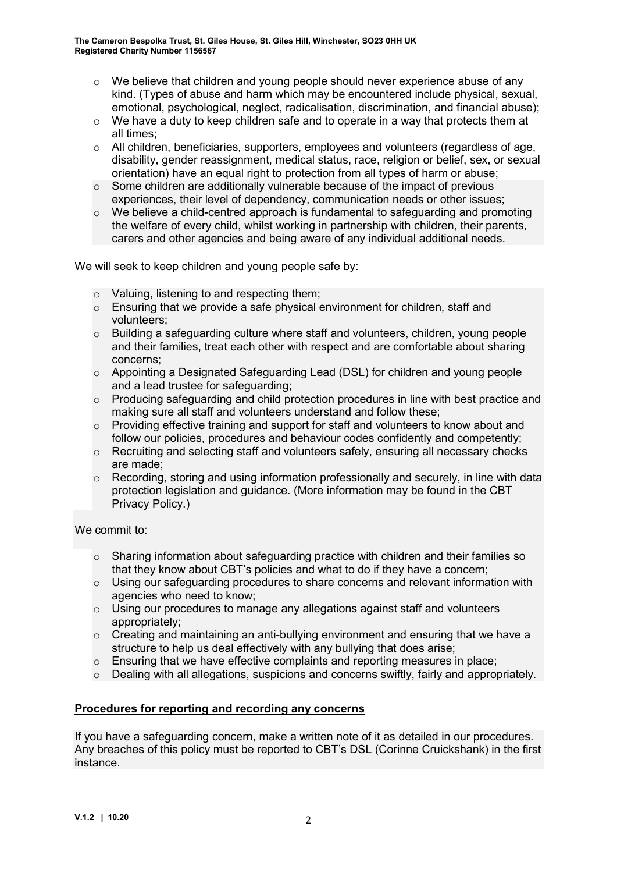- $\circ$  We believe that children and young people should never experience abuse of any kind. (Types of abuse and harm which may be encountered include physical, sexual, emotional, psychological, neglect, radicalisation, discrimination, and financial abuse);
- $\circ$  We have a duty to keep children safe and to operate in a way that protects them at all times;
- o All children, beneficiaries, supporters, employees and volunteers (regardless of age, disability, gender reassignment, medical status, race, religion or belief, sex, or sexual orientation) have an equal right to protection from all types of harm or abuse;
- $\circ$  Some children are additionally vulnerable because of the impact of previous experiences, their level of dependency, communication needs or other issues;
- $\circ$  We believe a child-centred approach is fundamental to safeguarding and promoting the welfare of every child, whilst working in partnership with children, their parents, carers and other agencies and being aware of any individual additional needs.

We will seek to keep children and young people safe by:

- o Valuing, listening to and respecting them;
- $\circ$  Ensuring that we provide a safe physical environment for children, staff and volunteers;
- $\circ$  Building a safeguarding culture where staff and volunteers, children, young people and their families, treat each other with respect and are comfortable about sharing concerns;
- o Appointing a Designated Safeguarding Lead (DSL) for children and young people and a lead trustee for safeguarding;
- $\circ$  Producing safeguarding and child protection procedures in line with best practice and making sure all staff and volunteers understand and follow these;
- o Providing effective training and support for staff and volunteers to know about and follow our policies, procedures and behaviour codes confidently and competently;
- o Recruiting and selecting staff and volunteers safely, ensuring all necessary checks are made;
- o Recording, storing and using information professionally and securely, in line with data protection legislation and guidance. (More information may be found in the CBT Privacy Policy.)

We commit to:

- o Sharing information about safeguarding practice with children and their families so that they know about CBT's policies and what to do if they have a concern;
- $\circ$  Using our safeguarding procedures to share concerns and relevant information with agencies who need to know;
- $\circ$  Using our procedures to manage any allegations against staff and volunteers appropriately;
- o Creating and maintaining an anti-bullying environment and ensuring that we have a structure to help us deal effectively with any bullying that does arise;
- o Ensuring that we have effective complaints and reporting measures in place;
- o Dealing with all allegations, suspicions and concerns swiftly, fairly and appropriately.

## Procedures for reporting and recording any concerns

If you have a safeguarding concern, make a written note of it as detailed in our procedures. Any breaches of this policy must be reported to CBT's DSL (Corinne Cruickshank) in the first instance.